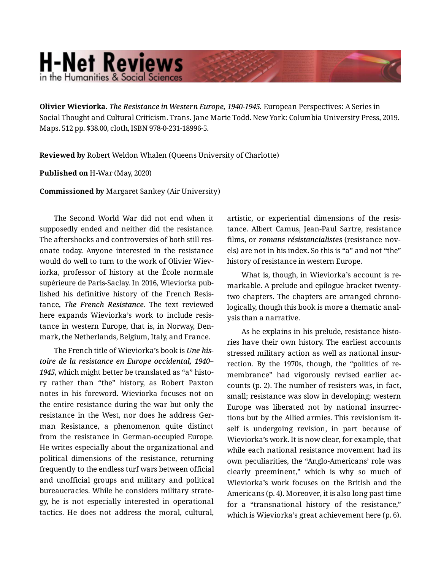## **H-Net Reviews** in the Humanities & Social Scienc

**Olivier Wieviorka.** *The Resistance in Western Europe, 1940-1945.* European Perspectives: A Series in Social Thought and Cultural Criticism. Trans. Jane Marie Todd. New York: Columbia University Press, 2019. Maps. 512 pp. \$38.00, cloth, ISBN 978-0-231-18996-5.

**Reviewed by** Robert Weldon Whalen (Queens University of Charlotte)

## **Published on** H-War (May, 2020)

**Commissioned by** Margaret Sankey (Air University)

The Second World War did not end when it supposedly ended and neither did the resistance. The aftershocks and controversies of both still res‐ onate today. Anyone interested in the resistance would do well to turn to the work of Olivier Wiev‐ iorka, professor of history at the École normale supérieure de Paris-Saclay. In 2016, Wieviorka pub‐ lished his definitive history of the French Resis‐ tance, *The French Resistance*. The text reviewed here expands Wieviorka's work to include resis‐ tance in western Europe, that is, in Norway, Den‐ mark, the Netherlands, Belgium, Italy, and France.

The French title of Wieviorka's book is *Une his‐ toire de la resistance en Europe occidental, 1940– 1945*, which might better be translated as "a" histo‐ ry rather than "the" history, as Robert Paxton notes in his foreword. Wieviorka focuses not on the entire resistance during the war but only the resistance in the West, nor does he address Ger‐ man Resistance, a phenomenon quite distinct from the resistance in German-occupied Europe. He writes especially about the organizational and political dimensions of the resistance, returning frequently to the endless turf wars between official and unofficial groups and military and political bureaucracies. While he considers military strate‐ gy, he is not especially interested in operational tactics. He does not address the moral, cultural,

artistic, or experiential dimensions of the resis‐ tance. Albert Camus, Jean-Paul Sartre, resistance films, or *romans résistancialistes* (resistance nov‐ els) are not in his index. So this is "a" and not "the" history of resistance in western Europe.

What is, though, in Wieviorka's account is re‐ markable. A prelude and epilogue bracket twentytwo chapters. The chapters are arranged chrono‐ logically, though this book is more a thematic anal‐ ysis than a narrative.

As he explains in his prelude, resistance histo‐ ries have their own history. The earliest accounts stressed military action as well as national insur‐ rection. By the 1970s, though, the "politics of re‐ membrance" had vigorously revised earlier ac‐ counts (p. 2). The number of resisters was, in fact, small; resistance was slow in developing; western Europe was liberated not by national insurrec‐ tions but by the Allied armies. This revisionism it‐ self is undergoing revision, in part because of Wieviorka's work. It is now clear, for example, that while each national resistance movement had its own peculiarities, the "Anglo-Americans' role was clearly preeminent," which is why so much of Wieviorka's work focuses on the British and the Americans (p. 4). Moreover, it is also long past time for a "transnational history of the resistance," which is Wieviorka's great achievement here (p. 6).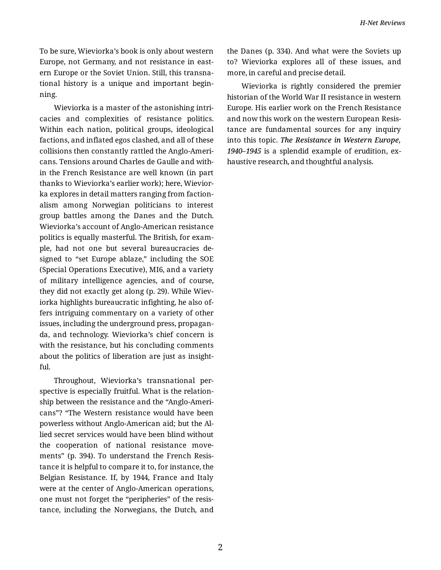To be sure, Wieviorka's book is only about western Europe, not Germany, and not resistance in east‐ ern Europe or the Soviet Union. Still, this transna‐ tional history is a unique and important begin‐ ning.

Wieviorka is a master of the astonishing intri‐ cacies and complexities of resistance politics. Within each nation, political groups, ideological factions, and inflated egos clashed, and all of these collisions then constantly rattled the Anglo-Ameri‐ cans. Tensions around Charles de Gaulle and with‐ in the French Resistance are well known (in part thanks to Wieviorka's earlier work); here, Wievior‐ ka explores in detail matters ranging from faction‐ alism among Norwegian politicians to interest group battles among the Danes and the Dutch. Wieviorka's account of Anglo-American resistance politics is equally masterful. The British, for exam‐ ple, had not one but several bureaucracies de‐ signed to "set Europe ablaze," including the SOE (Special Operations Executive), MI6, and a variety of military intelligence agencies, and of course, they did not exactly get along (p. 29). While Wiev‐ iorka highlights bureaucratic infighting, he also of‐ fers intriguing commentary on a variety of other issues, including the underground press, propagan‐ da, and technology. Wieviorka's chief concern is with the resistance, but his concluding comments about the politics of liberation are just as insight‐ ful.

Throughout, Wieviorka's transnational per‐ spective is especially fruitful. What is the relation‐ ship between the resistance and the "Anglo-Ameri‐ cans"? "The Western resistance would have been powerless without Anglo-American aid; but the Al‐ lied secret services would have been blind without the cooperation of national resistance movements" (p. 394). To understand the French Resis‐ tance it is helpful to compare it to, for instance, the Belgian Resistance. If, by 1944, France and Italy were at the center of Anglo-American operations, one must not forget the "peripheries" of the resis‐ tance, including the Norwegians, the Dutch, and the Danes (p. 334). And what were the Soviets up to? Wieviorka explores all of these issues, and more, in careful and precise detail.

Wieviorka is rightly considered the premier historian of the World War II resistance in western Europe. His earlier work on the French Resistance and now this work on the western European Resis‐ tance are fundamental sources for any inquiry into this topic. *The Resistance in Western Europe, 1940–1945* is a splendid example of erudition, ex‐ haustive research, and thoughtful analysis.